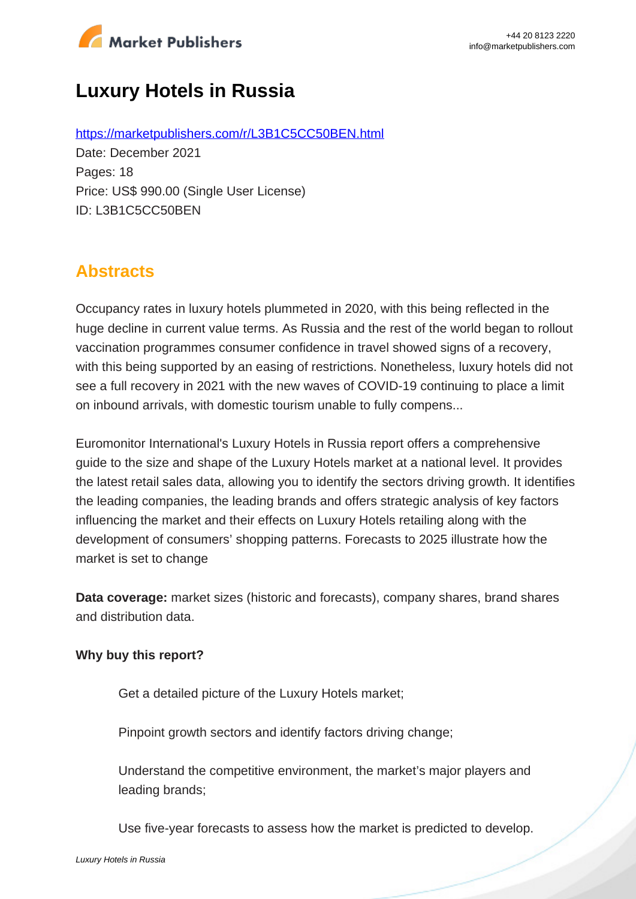

# **Luxury Hotels in Russia**

https://marketpublishers.com/r/L3B1C5CC50BEN.html Date: December 2021 Pages: 18 Price: US\$ 990.00 (Single User License) ID: L3B1C5CC50BEN

## **Abstracts**

Occupancy rates in luxury hotels plummeted in 2020, with this being reflected in the huge decline in current value terms. As Russia and the rest of the world began to rollout vaccination programmes consumer confidence in travel showed signs of a recovery, with this being supported by an easing of restrictions. Nonetheless, luxury hotels did not see a full recovery in 2021 with the new waves of COVID-19 continuing to place a limit on inbound arrivals, with domestic tourism unable to fully compens...

Euromonitor International's Luxury Hotels in Russia report offers a comprehensive guide to the size and shape of the Luxury Hotels market at a national level. It provides the latest retail sales data, allowing you to identify the sectors driving growth. It identifies the leading companies, the leading brands and offers strategic analysis of key factors influencing the market and their effects on Luxury Hotels retailing along with the development of consumers' shopping patterns. Forecasts to 2025 illustrate how the market is set to change

**Data coverage:** market sizes (historic and forecasts), company shares, brand shares and distribution data.

#### **Why buy this report?**

Get a detailed picture of the Luxury Hotels market;

Pinpoint growth sectors and identify factors driving change;

Understand the competitive environment, the market's major players and leading brands;

Use five-year forecasts to assess how the market is predicted to develop.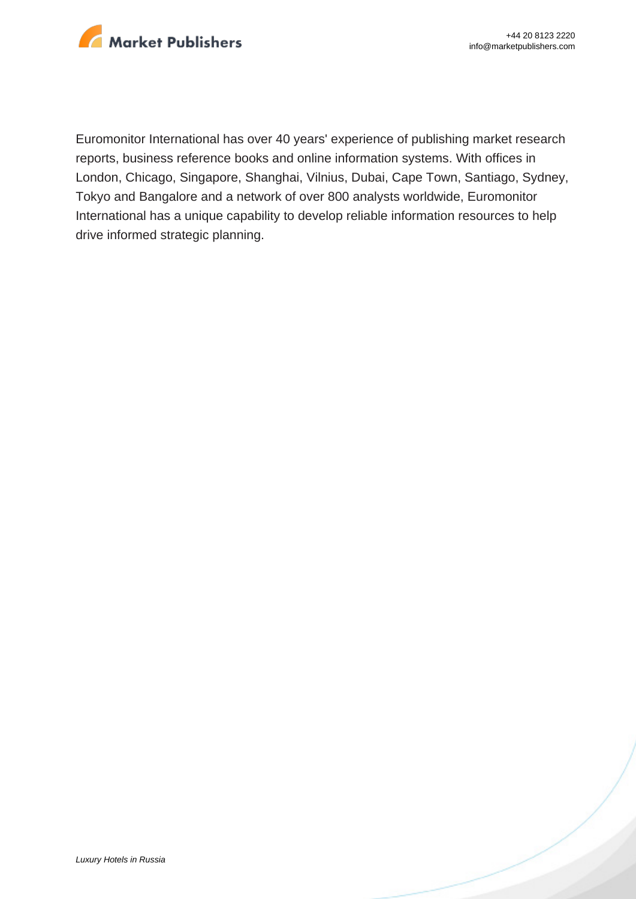

Euromonitor International has over 40 years' experience of publishing market research reports, business reference books and online information systems. With offices in London, Chicago, Singapore, Shanghai, Vilnius, Dubai, Cape Town, Santiago, Sydney, Tokyo and Bangalore and a network of over 800 analysts worldwide, Euromonitor International has a unique capability to develop reliable information resources to help drive informed strategic planning.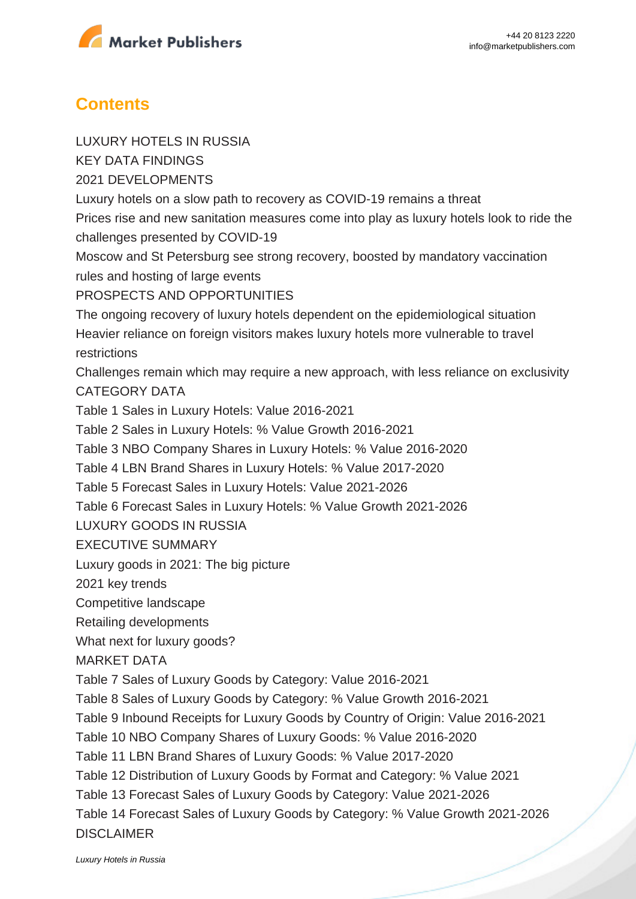

### **Contents**

LUXURY HOTELS IN RUSSIA

KEY DATA FINDINGS

2021 DEVELOPMENTS

Luxury hotels on a slow path to recovery as COVID-19 remains a threat

Prices rise and new sanitation measures come into play as luxury hotels look to ride the challenges presented by COVID-19

Moscow and St Petersburg see strong recovery, boosted by mandatory vaccination rules and hosting of large events

PROSPECTS AND OPPORTUNITIES

The ongoing recovery of luxury hotels dependent on the epidemiological situation Heavier reliance on foreign visitors makes luxury hotels more vulnerable to travel restrictions

Challenges remain which may require a new approach, with less reliance on exclusivity CATEGORY DATA

Table 1 Sales in Luxury Hotels: Value 2016-2021

Table 2 Sales in Luxury Hotels: % Value Growth 2016-2021

Table 3 NBO Company Shares in Luxury Hotels: % Value 2016-2020

Table 4 LBN Brand Shares in Luxury Hotels: % Value 2017-2020

Table 5 Forecast Sales in Luxury Hotels: Value 2021-2026

Table 6 Forecast Sales in Luxury Hotels: % Value Growth 2021-2026

LUXURY GOODS IN RUSSIA

EXECUTIVE SUMMARY

Luxury goods in 2021: The big picture

2021 key trends

Competitive landscape

Retailing developments

What next for luxury goods?

MARKET DATA

Table 7 Sales of Luxury Goods by Category: Value 2016-2021

Table 8 Sales of Luxury Goods by Category: % Value Growth 2016-2021

Table 9 Inbound Receipts for Luxury Goods by Country of Origin: Value 2016-2021

Table 10 NBO Company Shares of Luxury Goods: % Value 2016-2020

Table 11 LBN Brand Shares of Luxury Goods: % Value 2017-2020

Table 12 Distribution of Luxury Goods by Format and Category: % Value 2021

Table 13 Forecast Sales of Luxury Goods by Category: Value 2021-2026

Table 14 Forecast Sales of Luxury Goods by Category: % Value Growth 2021-2026 DISCLAIMER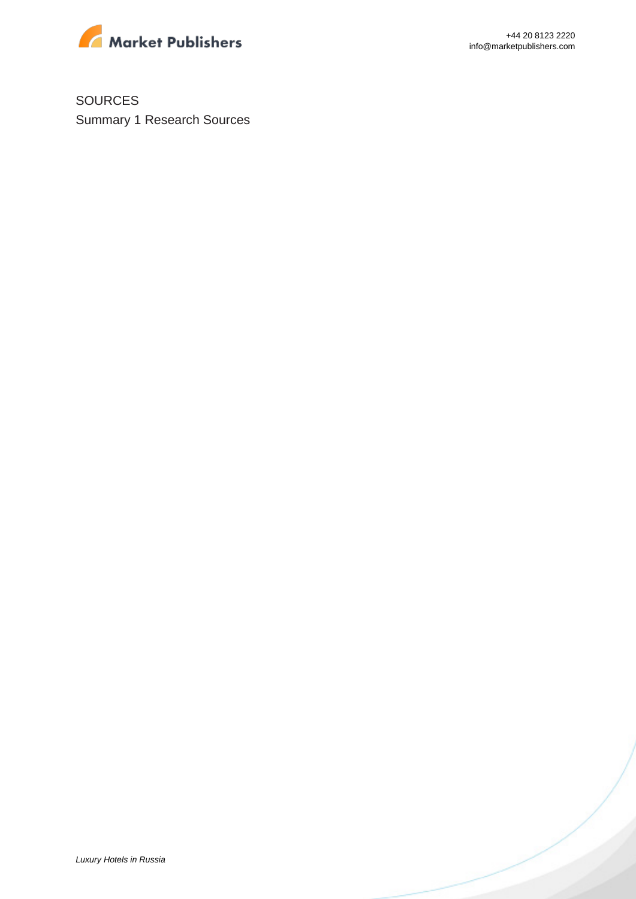

SOURCES Summary 1 Research Sources